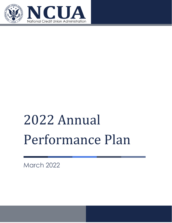

# 2022 Annual Performance Plan

March 2022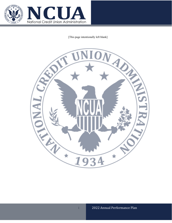

[This page intentionally left blank]

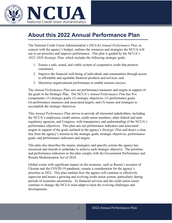

# <span id="page-2-0"></span>**About this 2022 Annual Performance Plan**

The National Credit Union Administration's (NCUA) *Annual Performance Plan*, in concert with the agency's budget, outlines the resources and strategies the NCUA will use to set priorities and improve performance. This plan is guided by the NCUA's *2022–2026 Strategic Plan*, which includes the following strategic goals:

- 1. Ensure a safe, sound, and viable system of cooperative credit that protects consumers;
- 2. Improve the financial well-being of individuals and communities through access to affordable and equitable financial products and services; and
- 3. Maximize organizational performance to enable mission success.

The *Annual Performance Plan* sets out performance measures and targets in support of the goals in the Strategic Plan. The NCUA's *Annual Performance Plan* has five components: (1) strategic goals; (2) strategic objectives; (3) performance goals; (4) performance measures and associated targets; and (5) means and strategies to accomplish the strategic objectives.

This *Annual Performance Plan* strives to provide all interested stakeholders, including the NCUA's employees, credit unions, credit union members, other federal and state regulatory agencies, and Congress, with transparency and understanding of the NCUA's performance objectives. This plan sets out performance indicators and associated targets in support of the goals outlined in the agency's *Strategic Plan* and draws a clear line from the agency's mission to the strategic goals, strategic objectives, performance goals, and performance indicators and targets.

This plan also describes the means, strategies, and specific actions the agency has resourced and intends to undertake to achieve each strategic objective. The priorities and performance indicators in this plan comply with the Government Performance and Results Modernization Act of 2010.

Global events with significant impact on the economy, such as Russia's invasion of Ukraine and the COVID-19 pandemic, remain a consideration for the agency's priorities in 2022. This plan outlines how the agency will continue to effectively supervise and insure a growing and evolving credit union system, particularly during periods of economic uncertainty. As financial services and the credit union sector continue to change, the NCUA must adapt to meet the evolving challenges and developments.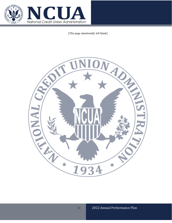

[This page intentionally left blank]

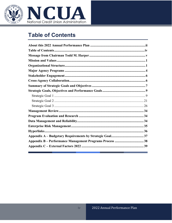

# <span id="page-4-0"></span>**Table of Contents**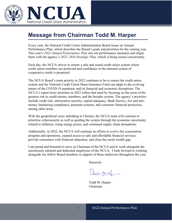

# <span id="page-5-0"></span>**Message from Chairman Todd M. Harper**

Every year, the National Credit Union Administration Board issues an Annual Performance Plan, which describes the Board's goals and priorities for the coming year. This year's *2022 Annual Performance Plan* sets out performance measures and aligns them with the agency's *2022–2026 Strategic Plan,* which is being issued concurrently.

Each day, the NCUA strives to ensure a safe and sound credit union system where credit union members are protected and confidence in the national system of cooperative credit is promoted.

The NCUA Board's main priority in 2022 continues to be to ensure the credit union system and the National Credit Union Share Insurance Fund can adapt to the evolving nature of the COVID-19 pandemic and its financial and economic disruptions. The NCUA's supervisory priorities in 2022 reflect that need by focusing on the areas of the greatest risk to credit unions, members, and the broader system. The agency's priorities include credit risk, information security, capital adequacy, Bank Secrecy Act and antimoney laundering compliance, payment systems, and consumer financial protection, among other areas.

With the geopolitical crisis unfolding in Ukraine, the NCUA team will continue to prioritize cybersecurity as well as guiding the system through the economic uncertainty related to inflation, rising energy prices, and continued supply chain disruptions.

Additionally, in 2022, the NCUA will continue its efforts to evolve the examination program and operations, expand access to safe and affordable financial services, provide consumers with financial education, and close the racial wealth gap.

I am proud and honored to serve as Chairman of the NCUA and to work alongside the enormously talented and dedicated employees of the NCUA. I look forward to working alongside my fellow Board members in support of these endeavors throughout the year.

Sincerely

Close on of

Todd M. Harper Chairman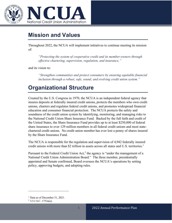

# <span id="page-6-0"></span>**Mission and Values**

Throughout 2022, the NCUA will implement initiatives to continue meeting its mission of:

*"Protecting the system of cooperative credit and its member-owners through effective chartering, supervision, regulation, and insurance,"*

and its vision to:

*"Strengthen communities and protect consumers by ensuring equitable financial inclusion through a robust, safe, sound, and evolving credit union system."* 

# <span id="page-6-1"></span>**Organizational Structure**

Created by the U.S. Congress in 1970, the NCUA is an independent federal agency that insures deposits at federally insured credit unions, protects the members who own credit unions, charters and regulates federal credit unions, and promotes widespread financial education and consumer financial protection. The NCUA protects the safety and soundness of the credit union system by identifying, monitoring, and managing risks to the National Credit Union Share Insurance Fund. Backed by the full faith and credit of the United States, the Share Insurance Fund provides up to at least \$250,000 of federal share insurance to over 129 million members in all federal credit unions and most statechartered credit unions. No credit union member has ever lost a penny of shares insured by the Share Insurance Fund.

The NCUA is responsible for the regulation and supervision of 4,942 federally insured credit unions with more than \$2 trillion in assets across all states and U.S. territories.<sup>[1](#page-6-2)</sup>

Pursuant to the Federal Credit Union Act,<sup>[2](#page-6-3)</sup> the agency is "under the management of a National Credit Union Administration Board." The three member, presidentially appointed and Senate confirmed, Board oversees the NCUA's operations by setting policy, approving budgets, and adopting rules.

<sup>&</sup>lt;sup>1</sup> Data as of December 31, 2021.

<span id="page-6-3"></span><span id="page-6-2"></span><sup>2</sup> 12 U.S.C. 1752a(a).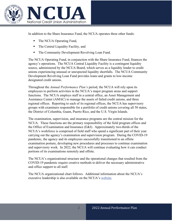

In addition to the Share Insurance Fund, the NCUA operates three other funds:

- The NCUA Operating Fund,
- The Central Liquidity Facility, and
- The Community Development Revolving Loan Fund.

The NCUA Operating Fund, in conjunction with the Share Insurance Fund, finances the agency's operations. The NCUA Central Liquidity Facility is a contingent liquidity source, administered by the NCUA Board, which serves as a liquidity lender to credit unions experiencing unusual or unexpected liquidity shortfalls. The NCUA Community Development Revolving Loan Fund provides loans and grants to low-income designated credit unions.

Throughout the *Annual Performance Plan's* period, the NCUA will rely upon its employees to perform activities in the NCUA's major program areas and support functions. The NCUA employs staff in a central office, an Asset Management and Assistance Center (AMAC) to manage the assets of failed credit unions, and three regional offices. Reporting to each of its regional offices, the NCUA has supervisory groups with examiners responsible for a portfolio of credit unions covering all 50 states, the District of Columbia, Guam, Puerto Rico, and the U.S. Virgin Islands.

The examination, supervision, and insurance programs are the central mission for the NCUA. These functions are the primary responsibility of the field program offices and the Office of Examination and Insurance (E&I). Approximately two-thirds of the NCUA's workforce is comprised of field staff who spend a significant part of their year carrying out the agency's examination and supervision program. During the COVID-19 pandemic, the agency and its employees successfully transitioned to an offsite examination posture, developing new procedures and processes to continue examination and supervisory work. In 2022, the NCUA will continue evaluating how it can conduct portions of its examinations remotely and offsite.

The NCUA's organizational structure and the operational changes that resulted from the COVID-19 pandemic require creative methods to deliver the necessary administrative and office support to all staff.

The NCUA organizational chart follows. Additional information about the NCUA's executive leadership is also available on the NCUA's [website.](https://www.ncua.gov/about/leadership/Pages/default.aspx)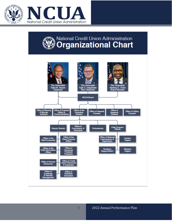

# National Credit Union Administration<br>**Organizational Chart**

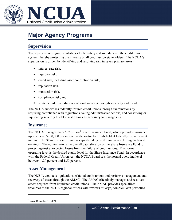

# <span id="page-9-0"></span>**Major Agency Programs**

## **Supervision**

The supervision program contributes to the safety and soundness of the credit union system, thereby protecting the interests of all credit union stakeholders. The NCUA's supervision is driven by identifying and resolving risk in seven primary areas:

- interest rate risk,
- liquidity risk,
- credit risk, including asset concentration risk,
- reputation risk,
- transaction risk,
- compliance risk, and
- strategic risk, including operational risks such as cybersecurity and fraud.

The NCUA supervises federally insured credit unions through examinations by requiring compliance with regulations, taking administrative actions, and conserving or liquidating severely troubled institutions as necessary to manage risk.

## **Insurance**

The NCUA manages the \$20.7 billion<sup>[3](#page-9-1)</sup> Share Insurance Fund, which provides insurance up to at least \$250,000 per individual depositor for funds held at federally insured credit unions. The Share Insurance Fund is capitalized by credit unions and through retained earnings. The equity ratio is the overall capitalization of the Share Insurance Fund to protect against unexpected losses from the failure of credit unions. The normal operating level is the desired equity level for the Share Insurance Fund. In accordance with the Federal Credit Union Act, the NCUA Board sets the normal operating level between 1.20 percent and 1.50 percent.

## **Asset Management**

The NCUA conducts liquidations of failed credit unions and performs management and recovery of assets through the AMAC. The AMAC effectively manages and resolves assets acquired from liquidated credit unions. The AMAC provides specialized resources to the NCUA regional offices with reviews of large, complex loan portfolios

<span id="page-9-1"></span> $3$  As of December 31, 2021.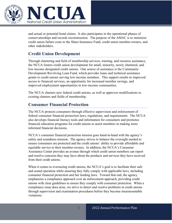

and actual or potential bond claims. It also participates in the operational phases of conservatorships and records reconstruction. The purpose of the AMAC is to minimize credit union failure costs to the Share Insurance Fund, credit union member-owners, and other stakeholders.

## **Credit Union Development**

Through chartering and field of membership services, training, and resource assistance, the NCUA fosters credit union development for small, minority, newly chartered, and low-income designated credit unions. One source of assistance is the Community Development Revolving Loan Fund, which provides loans and technical assistance grants to credit unions serving low-income members. This support results in improved access to financial services, an opportunity for increased member savings, and improved employment opportunities in low-income communities.

The NCUA charters new federal credit unions, as well as approves modifications to existing charters and fields of membership.

## **Consumer Financial Protection**

The NCUA protects consumers through effective supervision and enforcement of federal consumer financial protection laws, regulations, and requirements. The NCUA also develops financial literacy tools and information for consumers and promotes financial education programs for credit unions to assist members in making more informed financial decisions.

NCUA's consumer financial protection mission goes hand-in-hand with the agency's safety and soundness mission. The agency strives to balance the oversight needed to ensure consumers are protected and the credit unions' ability to provide affordable and equitable service to their member-owners. In addition, the NCUA's Consumer Assistance Center provides an avenue through which credit union members can report and resolve concerns they may have about the products and services they have received from their credit unions.

When it comes to overseeing credit unions, the NCUA's goal is to facilitate their safe and sound operation while ensuring they fully comply with applicable laws, including consumer financial protection and fair lending laws. Toward that end, the agency emphasizes a compliance approach over an enforcement approach, providing credit unions with clear guidelines to ensure they comply with consumer protection. When a compliance issue does arise, we strive to detect and resolve problems in credit unions through supervision and examination procedures before they become insurmountable violations.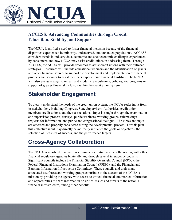

# **ACCESS: Advancing Communities through Credit, Education, Stability, and Support**

The NCUA identified a need to foster financial inclusion because of the financial disparities experienced by minority, underserved, and unbanked populations. ACCESS considers trends in industry data, economic and socioeconomic challenges experienced by consumers, and how NCUA may assist credit unions in addressing them. Through ACCESS, the NCUA will provide resources to assist credit unions with their outreach strategies. Resources will include educational webinars and the identification of grants and other financial sources to support the development and implementation of financial products and services to assist members experiencing financial hardship. The NCUA will also evaluate ways to refresh and modernize regulations, policies, and programs in support of greater financial inclusion within the credit union system.

# <span id="page-11-0"></span>**Stakeholder Engagement**

To clearly understand the needs of the credit union system, the NCUA seeks input from its stakeholders, including Congress, State Supervisory Authorities, credit union members, credit unions, and their associations. Input is sought through the examination and supervision process, surveys, public webinars, working groups, rulemakings, requests for information, and public and congressional dialogue. The views and input are assessed and properly considered during the developmental process. For this plan, this collective input may directly or indirectly influence the goals or objectives, the selection of measures of success, and the performance targets.

# <span id="page-11-1"></span>**Cross-Agency Collaboration**

The NCUA is involved in numerous cross-agency initiatives by collaborating with other financial regulatory agencies bilaterally and through several interagency councils. Significant councils include the Financial Stability Oversight Council (FSOC), the Federal Financial Institutions Examination Council (FFIEC), and the Financial and Banking Information Infrastructure Committee. These councils and their many associated taskforces and working groups contribute to the success of the NCUA's mission by providing the agency with access to critical financial and market information and opportunities to share information on critical issues and threats to the nation's financial infrastructure, among other benefits.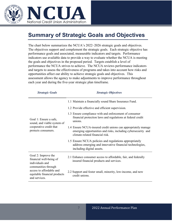

# <span id="page-12-0"></span>**Summary of Strategic Goals and Objectives**

The chart below summarizes the NCUA's 2022–2026 strategic goals and objectives. The objectives support and complement the strategic goals. Each strategic objective has performance goals and associated, measurable indicators and targets. Performance indicators use available data to provide a way to evaluate whether the NCUA is meeting the goals and objectives in the proposed period. Targets establish a level of performance the NCUA strives to achieve. The NCUA reviews performance indicators and targets to assess the effectiveness of programs and takes into account how risks and opportunities affect our ability to achieve strategic goals and objectives. This assessment allows the agency to make adjustments to improve performance throughout each year and during the five-year strategic plan timeframe.

| <b>Strategic Goals</b>                                                                           | <b>Strategic Objectives</b>                                                                                                                                        |
|--------------------------------------------------------------------------------------------------|--------------------------------------------------------------------------------------------------------------------------------------------------------------------|
|                                                                                                  | 1.1 Maintain a financially sound Share Insurance Fund.                                                                                                             |
|                                                                                                  | 1.2 Provide effective and efficient supervision.                                                                                                                   |
| Goal 1: Ensure a safe,<br>sound, and viable system of                                            | 1.3 Ensure compliance with and enforcement of consumer<br>financial protection laws and regulations at federal credit<br>unions.                                   |
| cooperative credit that<br>protects consumers.                                                   | 1.4 Ensure NCUA-insured credit unions can appropriately manage<br>emerging opportunities and risks, including cybersecurity and<br>climate-related financial risk. |
|                                                                                                  | 1.5 Ensure NCUA policies and regulations appropriately<br>address emerging and innovative financial technologies,<br>including digital assets.                     |
| Goal 2: Improve the<br>financial well-being of<br>individuals and                                | 2.1 Enhance consumer access to affordable, fair, and federally<br>insured financial products and services.                                                         |
| communities through<br>access to affordable and<br>equitable financial products<br>and services. | 2.2 Support and foster small, minority, low-income, and new<br>credit unions.                                                                                      |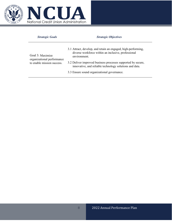

| <b>Strategic Goals</b>                                                       | <b>Strategic Objectives</b>                                                                                                                                                                                                                                     |
|------------------------------------------------------------------------------|-----------------------------------------------------------------------------------------------------------------------------------------------------------------------------------------------------------------------------------------------------------------|
| Goal 3: Maximize<br>organizational performance<br>to enable mission success. | 3.1 Attract, develop, and retain an engaged, high-performing,<br>diverse workforce within an inclusive, professional<br>environment.<br>3.2 Deliver improved business processes supported by secure,<br>innovative, and reliable technology solutions and data. |
|                                                                              | 3.3 Ensure sound organizational governance.                                                                                                                                                                                                                     |
|                                                                              |                                                                                                                                                                                                                                                                 |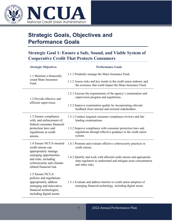

# <span id="page-14-0"></span>**Strategic Goals, Objectives and Performance Goals**

# <span id="page-14-1"></span>**Strategic Goal 1: Ensure a Safe, Sound, and Viable System of Cooperative Credit That Protects Consumers**

|                           | <b>Strategic Objectives</b>                                                                                                                             | <b>Performance Goals</b>                                                                                                                                   |
|---------------------------|---------------------------------------------------------------------------------------------------------------------------------------------------------|------------------------------------------------------------------------------------------------------------------------------------------------------------|
|                           | 1.1 Maintain a financially                                                                                                                              | 1.1.1 Prudently manage the Share Insurance Fund.                                                                                                           |
|                           | sound Share Insurance<br>Fund.                                                                                                                          | 1.1.2 Assess risks and key trends in the credit union industry and<br>the economy that could impact the Share Insurance Fund.                              |
| 1.2 Provide effective and |                                                                                                                                                         | 1.2.1 Execute the requirements of the agency's examination and<br>supervision program and regulations.                                                     |
|                           | efficient supervision.                                                                                                                                  | 1.2.2 Improve examination quality by incorporating relevant<br>feedback from internal and external stakeholders.                                           |
|                           | 1.3 Ensure compliance<br>with, and enforcement of,<br>federal consumer financial                                                                        | 1.3.1 Conduct targeted consumer compliance reviews and fair<br>lending examinations.                                                                       |
|                           | protection laws and<br>regulations at credit<br>unions.                                                                                                 | 1.3.2 Improve compliance with consumer protection laws and<br>regulations through effective guidance to the credit union<br>system.                        |
|                           | 1.4 Ensure NCUA-insured<br>credit unions can<br>appropriately manage                                                                                    | 1.4.1 Promote and evaluate effective cybersecurity practices in<br>credit unions.                                                                          |
|                           | emerging opportunities<br>and risks, including<br>cybersecurity and climate-<br>related financial risk.                                                 | 1.4.2 Identify and work with affected credit unions and appropriate<br>state regulators to understand and mitigate asset concentration<br>and other risks. |
|                           | 1.5 Ensure NCUA<br>policies and regulations<br>appropriately address<br>emerging and innovative<br>financial technologies,<br>including digital assets. | 1.5.1 Evaluate and address barriers to credit union adoption of<br>emerging financial technology, including digital assets.                                |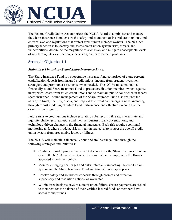

The Federal Credit Union Act authorizes the NCUA Board to administer and manage the Share Insurance Fund, ensure the safety and soundness of insured credit unions, and enforce laws and regulations that protect credit union member-owners. The NCUA's primary function is to identify and assess credit union system risks, threats, and vulnerabilities, determine the magnitude of such risks, and mitigate unacceptable levels of risk through its examination, supervision, and enforcement programs.

## **Strategic Objective 1.1**

#### *Maintain a Financially Sound Share Insurance Fund.*

The Share Insurance Fund is a cooperative insurance fund comprised of a one percent capitalization deposit from insured credit unions, income from prudent investment strategies, and premium assessments, when needed. The NCUA must maintain a financially sound Share Insurance Fund to protect credit union member-owners against unexpected losses from failed credit unions and to maintain public confidence in federal share insurance. Sound management of the Share Insurance Fund also requires the agency to timely identify, assess, and respond to current and emerging risks, including through robust modeling of future Fund performance and effective execution of the examination program.

Future risks to credit unions include escalating cybersecurity threats, interest rate and liquidity challenges, real estate and member business loan concentrations, and technology-driven changes in the financial landscape. Each risk requires continual monitoring and, where prudent, risk-mitigation strategies to protect the overall credit union system from preventable losses or failures.

The NCUA will maintain a financially sound Share Insurance Fund through the following strategies and initiatives:

- Continue to make prudent investment decisions for the Share Insurance Fund to ensure the NCUA investment objectives are met and comply with the Boardapproved investment policy.
- Monitor emerging challenges and risks potentially impacting the credit union system and the Share Insurance Fund and take action as appropriate.
- Resolve safety and soundness concerns through prompt and effective supervisory and resolution actions, as warranted.
- Within three business days of a credit union failure, ensure payments are issued to members for the balance of their verified insured funds or members have access to their funds.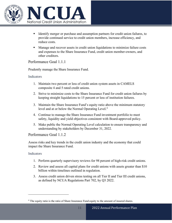

- Identify merger or purchase and assumption partners for credit union failures, to provide continued service to credit union members, increase efficiency, and reduce costs.
- Manage and recover assets in credit union liquidations to minimize failure costs and expenses to the Share Insurance Fund, credit union member-owners, and other creditors.

#### Performance Goal 1.1.1

Prudently manage the Share Insurance Fund.

#### **Indicators**

- 1. Maintain two percent or less of credit union system assets in CAMELS composite 4 and 5 rated credit unions.
- 2. Strive to minimize costs to the Share Insurance Fund for credit union failures by keeping straight liquidations to 15 percent or less of institution failures.
- 3. Maintain the Share Insurance Fund's equity ratio above the minimum statutory level and at or below the Normal Operating Level. [4](#page-16-0)
- 4. Continue to manage the Share Insurance Fund investment portfolio to meet safety, liquidity and yield objectives consistent with Board-approved policy.
- 5. Make public the Normal Operating Level calculation to ensure transparency and understanding by stakeholders by December 31, 2022.

#### Performance Goal 1.1.2

Assess risks and key trends in the credit union industry and the economy that could impact the Share Insurance Fund.

#### **Indicators**

- 1. Perform quarterly supervisory reviews for 98 percent of high-risk credit unions.
- 2. Review and assess all capital plans for credit unions with assets greater than \$10 billion within timelines outlined in regulation.
- 3. Assess credit union driven stress testing on all Tier II and Tier III credit unions, as defined by NCUA Regulations Part 702, by Q3 2022.

<span id="page-16-0"></span><sup>4</sup> The equity ratio is the ratio of Share Insurance Fund equity to the amount of insured shares.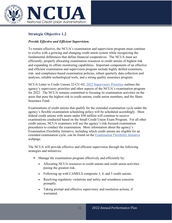

#### **Strategic Objective 1.2**

#### *Provide Effective and Efficient Supervision.*

To remain effective, the NCUA's examination and supervision program must continue to evolve with a growing and changing credit union system while recognizing the fundamental differences that define financial cooperatives. The NCUA must act efficiently, properly allocating examination resources to credit unions of highest risk and expanding its offsite monitoring capabilities. Important components of an effective and efficient examination and supervision program include highly skilled examiners, risk- and compliance-based examination policies, robust quarterly data collection and analyses, reliable technological tools, and a strong quality assurance program.

NCUA Letter to Credit Unions 22-CU-02, [2022 Supervisory Priorities](https://www.ncua.gov/regulation-supervision/letters-credit-unions-other-guidance/ncuas-2022-supervisory-priorities) outlines the agency's supervisory priorities and other aspects of the NCUA's examination program for 2022. The NCUA remains committed to focusing its examination activities on the areas that pose the highest risk to credit unions, credit union members, and the Share Insurance Fund.

Examinations of credit unions that qualify for the extended examination cycle under the agency's flexible examination scheduling policy will be scheduled accordingly. Most federal credit unions with assets under \$50 million will continue to receive examinations conducted based on the Small Credit Union Exam Program. For all other credit unions, NCUA examiners will use the agency's risk-focused examination procedures to conduct the examination. More information about the agency's Examination Flexibility Initiative, including which credit unions are eligible for an extended examination cycle, can be found on the [Examination Flexibility Initiative](https://www.ncua.gov/regulation-supervision/examination-modernization-initiatives/exam-flexibility-initiative) webpage.

The NCUA will provide effective and efficient supervision through the following strategies and initiatives:

- Manage the examination program effectively and efficiently by:
	- Allocating NCUA resources to credit unions and credit union activities posing the greatest risk.
	- Following up with CAMELS composite 3, 4, and 5 credit unions.
	- Resolving regulatory violations and safety and soundness concerns promptly.
	- Taking prompt and effective supervisory and resolution actions, if warranted.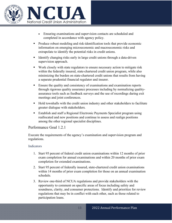

- Ensuring examinations and supervision contacts are scheduled and completed in accordance with agency policy.
- Produce robust modeling and risk-identification tools that provide economic information on emerging microeconomic and macroeconomic risks and extrapolate to identify the potential risks in credit unions.
- Identify changing risks early in large credit unions through a data-driven supervision approach.
- Work closely with state regulators to ensure necessary action to mitigate risk within the federally insured, state-chartered credit union program, while also minimizing the burden on state-chartered credit unions that results from having a separate prudential financial regulator and insurer.
- Ensure the quality and consistency of examinations and examination reports through rigorous quality assurance processes including by normalizing qualityassurance tools such as feedback surveys and the use of recordings during exit meetings and joint conferences.
- Hold townhalls with the credit union industry and other stakeholders to facilitate greater dialogue with stakeholders.
- Establish and staff a Regional Electronic Payments Specialist program using reallocated and new positions and continue to assess and realign positions among the other regional specialist disciplines.

#### Performance Goal 1.2.1

Execute the requirements of the agency's examination and supervision program and regulations.

#### **Indicators**

- 1. Start 95 percent of federal credit union examinations within 12 months of prior exam completion for annual examinations and within 20 months of prior exam completion for extended examinations.
- 2. Start 95 percent of federally insured, state-chartered credit union examinations within 14 months of prior exam completion for those on an annual examination schedule.
- 3. Review one-third of NCUA regulations and provide stakeholders with the opportunity to comment on specific areas of focus including safety and soundness, clarity, and consumer protections. Identify and prioritize for review regulations that may be in conflict with each other, such as those related to participation loans.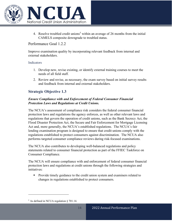

4. Resolve troubled credit unions<sup>[5](#page-19-0)</sup> within an average of 26 months from the initial CAMELS composite downgrade to troubled status.

#### Performance Goal 1.2.2

Improve examination quality by incorporating relevant feedback from internal and external stakeholders.

#### Indicators

- 1. Develop new, revise existing, or identify external training courses to meet the needs of all field staff.
- 2. Review and revise, as necessary, the exam survey based on initial survey results and feedback from internal and external stakeholders.

#### **Strategic Objective 1.3**

#### *Ensure Compliance with and Enforcement of Federal Consumer Financial Protection Laws and Regulations at Credit Unions.*

The NCUA's assessment of compliance risk considers the federal consumer financial protection laws and regulations the agency enforces, as well as other relevant laws and regulations that govern the operation of credit unions, such as the Bank Secrecy Act, the Flood Disaster Protection Act, the Secure and Fair Enforcement for Mortgage Licensing Act and, more generally, the NCUA's established regulations. The NCUA's fair lending examination program is designed to ensure that credit unions comply with the regulations established to protect consumers against discrimination. The NCUA also performs targeted consumer compliance reviews during risk-focused examinations.

The NCUA also contributes to developing well-balanced regulations and policy statements related to consumer financial protection as part of the FFIEC Taskforce on Consumer Compliance.

The NCUA will ensure compliance with and enforcement of federal consumer financial protection laws and regulations at credit unions through the following strategies and initiatives:

**Provide timely guidance to the credit union system and examiners related to** changes in regulations established to protect consumers.

<span id="page-19-0"></span><sup>5</sup> As defined in NCUA regulation § 701.14.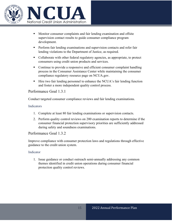

- Monitor consumer complaints and fair lending examination and offsite supervision contact results to guide consumer compliance program development.
- Perform fair lending examinations and supervision contacts and refer fair lending violations to the Department of Justice, as required.
- Collaborate with other federal regulatory agencies, as appropriate, to protect consumers using credit union products and services.
- Continue to provide a responsive and efficient consumer complaint handling process in the Consumer Assistance Center while maintaining the consumer compliance regulatory resource page on NCUA.gov.
- Hire two fair lending personnel to enhance the NCUA's fair lending function and foster a more independent quality control process.

#### Performance Goal 1.3.1

Conduct targeted consumer compliance reviews and fair lending examinations.

#### **Indicators**

- 1. Complete at least 80 fair lending examinations or supervision contacts.
- 2. Perform quality control reviews on 200 examination reports to determine if the consumer financial protection supervisory priorities are sufficiently addressed during safety and soundness examinations.

#### Performance Goal 1.3.2

Improve compliance with consumer protection laws and regulations through effective guidance to the credit union system.

#### Indicator

1. Issue guidance or conduct outreach semi-annually addressing any common themes identified in credit union operations during consumer financial protection quality control reviews.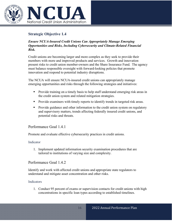

#### **Strategic Objective 1.4**

#### *Ensure NCUA-Insured Credit Unions Can Appropriately Manage Emerging Opportunities and Risks, Including Cybersecurity and Climate-Related Financial Risk.*

Credit unions are becoming larger and more complex as they seek to provide their members with more and improved products and services. Growth and innovation present risks to credit union member-owners and the Share Insurance Fund. The agency must balance responsible oversight with forward-looking policies that promote innovation and respond to potential industry disruptions.

The NCUA will ensure NCUA-insured credit unions can appropriately manage emerging opportunities and risks through the following strategies and initiatives:

- **Provide training on a timely basis to help staff understand emerging risk areas in** the credit union system and related mitigation strategies.
- Provide examiners with timely reports to identify trends in targeted risk areas.
- **Provide guidance and other information to the credit union system on regulatory** and supervisory matters, trends affecting federally insured credit unions, and potential risks and threats.

#### Performance Goal 1.4.1

Promote and evaluate effective cybersecurity practices in credit unions.

#### Indicator

1. Implement updated information security examination procedures that are tailored to institutions of varying size and complexity.

#### Performance Goal 1.4.2

Identify and work with affected credit unions and appropriate state regulators to understand and mitigate asset concentration and other risks.

#### Indicators

1. Conduct 95 percent of exams or supervision contacts for credit unions with high concentrations in specific loan types according to established timelines.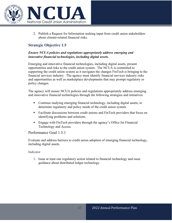

2. Publish a Request for Information seeking input from credit union stakeholders about climate-related financial risks.

## **Strategic Objective 1.5**

#### *Ensure NCUA policies and regulations appropriately address emerging and innovative financial technologies, including digital assets.*

Emerging and innovative financial technologies, including digital assets, present opportunities and risks to the credit union system. The NCUA is committed to supporting the credit union system as it navigates the changes FinTech is bringing to the financial services industry. The agency must identify financial services industry risks and opportunities as well as marketplace developments that may prompt regulatory or policy changes.

The agency will ensure NCUA policies and regulations appropriately address emerging and innovative financial technologies through the following strategies and initiatives:

- Continue studying emerging financial technology, including digital assets, to determine regulatory and policy needs of the credit union system.
- Facilitate discussions between credit unions and FinTech providers that focus on identifying problems and solutions.
- Engage with FinTech providers through the agency's Office for Financial Technology and Access.

#### Performance Goal 1.5.1

Evaluate and address barriers to credit union adoption of emerging financial technology, including digital assets.

#### Indicator

1. Issue at least one regulatory action related to financial technology and issue guidance about distributed ledger technology.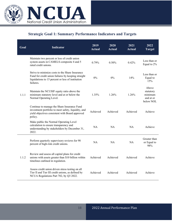

## **Strategic Goal 1: Summary Performance Indicators and Targets**

| Goal  | <b>Indicator</b>                                                                                                                                                        | 2019<br><b>Actual</b> | 2020<br><b>Actual</b> | 2021<br><b>Actual</b> | 2022<br><b>Target</b>                                   |
|-------|-------------------------------------------------------------------------------------------------------------------------------------------------------------------------|-----------------------|-----------------------|-----------------------|---------------------------------------------------------|
| 1.1.1 | Maintain two percent or less of credit union<br>system assets in CAMELS composite 4 and 5<br>rated credit unions.                                                       | 0.79%                 | 0.50%                 | 0.42%                 | Less than or<br>Equal to 2%                             |
|       | Strive to minimize costs to the Share Insurance<br>Fund for credit union failures by keeping straight<br>liquidations to 15 percent or less of institution<br>failures. | $0\%$                 | $0\%$                 | 14%                   | Less than or<br>Equal to<br>15%                         |
|       | Maintain the NCUSIF equity ratio above the<br>minimum statutory level and at or below the<br>Normal Operating Level.                                                    | 1.35%                 | 1.26%                 | 1.26%                 | Above<br>statutory<br>minimum<br>and at or<br>below NOL |
|       | Continue to manage the Share Insurance Fund<br>investment portfolio to meet safety, liquidity, and<br>yield objectives consistent with Board approved<br>policy.        | Achieved              | Achieved              | Achieved              | Achieve                                                 |
|       | Make public the Normal Operating Level<br>calculation to ensure transparency and<br>understanding by stakeholders by December 31,<br>2022.                              | <b>NA</b>             | <b>NA</b>             | <b>NA</b>             | Achieve                                                 |
|       | Perform quarterly supervisory reviews for 98<br>percent of high-risk credit unions.                                                                                     | <b>NA</b>             | <b>NA</b>             | <b>NA</b>             | Greater than<br>or Equal to<br>98%                      |
| 1.1.2 | Review and assess all capital plans for credit<br>unions with assets greater than \$10 billion within<br>timelines outlined in regulation.                              | Achieved              | Achieved              | Achieved              | Achieve                                                 |
|       | Assess credit union driven stress testing on all<br>Tier II and Tier III credit unions, as defined by<br>NCUA Regulations Part 702, by Q3 2022.                         | Achieved              | Achieved              | Achieved              | Achieve                                                 |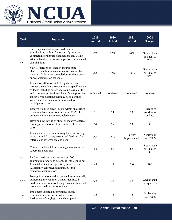

| Goal  | <b>Indicator</b>                                                                                                                                                                                                                                                                                                              | 2019<br><b>Actual</b> | 2020<br><b>Actual</b> | 2021<br><b>Actual</b> | 2022<br><b>Target</b>              |
|-------|-------------------------------------------------------------------------------------------------------------------------------------------------------------------------------------------------------------------------------------------------------------------------------------------------------------------------------|-----------------------|-----------------------|-----------------------|------------------------------------|
| 1.2.1 | Start 95 percent of federal credit union<br>examinations within 12 months of prior exam<br>completion for annual examinations and within<br>20 months of prior exam completion for extended<br>examinations.                                                                                                                  | 97%                   | 92%                   | 94%                   | Greater than<br>or Equal to<br>95% |
|       | Start 95 percent of federally insured state-<br>chartered credit union examinations within 14<br>months of prior exam completion for those on an<br>annual examination schedule.                                                                                                                                              | 96%                   | 97%                   | 100%                  | Greater than<br>or Equal to<br>95% |
|       | Review one-third of NCUA regulations and<br>prompt stakeholders to comment on specific areas<br>of focus including safety and soundness, clarity,<br>and consumer protections. Identify and prioritize<br>for review regulations that may be in conflict<br>with each other, such as those related to<br>participation loans. | Achieved              | Achieved              | Achieved              | Achieve                            |
|       | Resolve troubled credit unions within an average<br>of 26 months or less from the initial CAMELS<br>composite downgrade to troubled status.                                                                                                                                                                                   | 21                    | 24                    | 23                    | Average of<br>26 Months<br>or Less |
| 1.2.2 | Develop new, revise existing, or identify external<br>training courses to meet the needs of all field<br>staff.                                                                                                                                                                                                               | 14                    | 28                    | 23                    | 30                                 |
|       | Review and revise as necessary the exam survey<br>based on initial survey results and feedback from<br>internal and external stakeholders.                                                                                                                                                                                    | NA                    | NA                    | Survey<br>Implemented | Achieve by<br>12/31/2022           |
|       | Complete at least 80 fair lending examinations or<br>supervision contacts.                                                                                                                                                                                                                                                    | 68                    | 51                    | 68                    | Greater than<br>or Equal to<br>80  |
| 1.3.1 | Perform quality control reviews on 200<br>examination reports to determine if the consumer<br>financial protection supervisory priorities are<br>sufficiently addressed during safety and<br>soundness examinations.                                                                                                          | NA                    | NA                    | 200                   | 200                                |
| 1.3.2 | Issue guidance or conduct outreach semi-annually<br>addressing any common themes identified in<br>credit union operations during consumer financial<br>protection quality control reviews.                                                                                                                                    | NA                    | NA                    | <b>NA</b>             | Greater than<br>or Equal to 2      |
| 1.4.1 | Implement updated information security<br>examination procedures that are tailored to<br>institutions of varying size and complexity.                                                                                                                                                                                         | <b>NA</b>             | <b>NA</b>             | <b>NA</b>             | Achieve by<br>12/31/2022           |

19 2022 Annual Performance Plan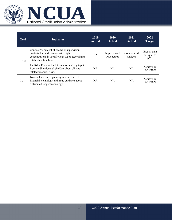

<span id="page-25-0"></span>

| Goal  | Indicator                                                                                                                                                          | 2019<br><b>Actual</b> | 2020<br>Actual            | 2021<br><b>Actual</b> | 2022<br>Target                     |
|-------|--------------------------------------------------------------------------------------------------------------------------------------------------------------------|-----------------------|---------------------------|-----------------------|------------------------------------|
| 1.4.2 | Conduct 95 percent of exams or supervision<br>contacts for credit unions with high<br>concentrations in specific loan types according to<br>established timelines. | NA                    | Implemented<br>Procedures | Commenced<br>Reviews  | Greater than<br>or Equal to<br>95% |
|       | Publish a Request for Information seeking input<br>from credit union stakeholders about climate-<br>related financial risks.                                       | NA                    | NA                        | <b>NA</b>             | Achieve by<br>12/31/2022           |
| 1.5.1 | Issue at least one regulatory action related to<br>financial technology and issue guidance about<br>distributed ledger technology.                                 | NA.                   | <b>NA</b>                 | NA                    | Achieve by<br>12/31/2022           |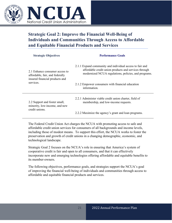

# **Strategic Goal 2: Improve the Financial Well-Being of Individuals and Communities Through Access to Affordable and Equitable Financial Products and Services**

| <b>Strategic Objectives</b>                                                                         | <b>Performance Goals</b>                                                                                                                                                  |
|-----------------------------------------------------------------------------------------------------|---------------------------------------------------------------------------------------------------------------------------------------------------------------------------|
| 2.1 Enhance consumer access to<br>affordable, fair, and federally<br>insured financial products and | 2.1.1 Expand community and individual access to fair and<br>affordable credit union products and services through<br>modernized NCUA regulations, policies, and programs. |
| services.                                                                                           | 2.1.2 Empower consumers with financial education<br>information.                                                                                                          |
| 2.2 Support and foster small,<br>minority, low-income, and new                                      | 2.2.1 Administer viable credit union charter, field of<br>membership, and low-income requests.                                                                            |
| credit unions.                                                                                      | 2.2.2 Maximize the agency's grant and loan programs.                                                                                                                      |

The Federal Credit Union Act charges the NCUA with promoting access to safe and affordable credit union services for consumers of all backgrounds and income levels, including those of modest means. To support this effort, the NCUA works to foster the preservation and growth of credit unions in a changing demographic, economic, and technological landscape.

Strategic Goal 2 focuses on the NCUA's role in ensuring that America's system of cooperative credit is fair and open to all consumers, and that it can effectively incorporate new and emerging technologies offering affordable and equitable benefits to its member-owners.

The following objectives, performance goals, and strategies support the NCUA's goal of improving the financial well-being of individuals and communities through access to affordable and equitable financial products and services.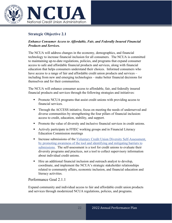

#### **Strategic Objective 2.1**

#### *Enhance Consumer Access to Affordable, Fair, and Federally Insured Financial Products and Services.*

The NCUA will address changes in the economy, demographics, and financial technology to increase financial inclusion for all consumers. The NCUA is committed to maintaining up-to-date regulations, policies, and programs that expand consumer access to safe and affordable financial products and services, along with financial education that helps consumers understand their choices. Informed consumers who have access to a range of fair and affordable credit union products and services – including from new and emerging technologies – make better financial decisions for themselves and for their communities.

The NCUA will enhance consumer access to affordable, fair, and federally insured financial products and services through the following strategies and initiatives:

- **Promote NCUA programs that assist credit unions with providing access to** financial services.
- Through the ACCESS initiative, focus on meeting the needs of underserved and diverse communities by strengthening the four pillars of financial inclusion: access to credit, education, stability, and support.
- Promote the value of diversity and inclusive financial services in credit unions.
- Actively participate in FFIEC working groups and in Financial Literacy Education Commission meetings
- Increase submissions of the [Voluntary Credit Union Diversity Self-Assessment,](https://www.ncua.gov/about-ncua/diversity-inclusion/credit-union-diversity/voluntary-credit-union-diversity-self-assessment) by promoting awareness of the tool and identifying and mitigating barriers to submissions. The self-assessment is a tool for credit unions to evaluate their diversity programs and practices, not a tool to collect supervisory information about individual credit unions.
- Hire an additional financial inclusion and outreach analyst to develop, coordinate, and implement the NCUA's strategic stakeholder relationships related to community affairs, economic inclusion, and financial education and literacy activities.

#### Performance Goal 2.1.1

Expand community and individual access to fair and affordable credit union products and services through modernized NCUA regulations, policies, and programs.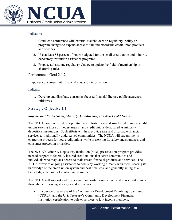

#### Indicators

- 1. Conduct a conference with external stakeholders on regulatory, policy or program changes to expand access to fair and affordable credit union products and services.
- 2. Use at least 85 percent of hours budgeted for the small credit union and minority depository institution assistance programs.
- 3. Propose at least one regulatory change to update the field of membership or chartering rules.

#### Performance Goal 2.1.2

Empower consumers with financial education information.

#### Indicator

1. Develop and distribute consumer-focused financial literacy public awareness initiatives.

#### **Strategic Objective 2.2**

#### *Support and Foster Small, Minority, Low-Income, and New Credit Unions.*

The NCUA continues to develop initiatives to foster new and small credit unions, credit unions serving those of modest means, and credit unions designated as minority depository institutions. Such efforts will help provide safe and affordable financial services to traditionally underserved communities. The NCUA will streamline its chartering process for new credit unions while preserving its safety and soundness and consumer protection priorities.

The NCUA's Minority Depository Institution (MDI) preservation program provides needed support to federally insured credit unions that serve communities and individuals who may lack access to mainstream financial products and services. The NCUA provides ongoing assistance to MDIs by working directly with them, sharing its knowledge of the credit union system and best practices, and generally acting as a knowledgeable point of contact and resource.

The NCUA will support and foster small, minority, low-income, and new credit unions through the following strategies and initiatives:

 Encourage greater use of the Community Development Revolving Loan Fund (CDRLF) and the U.S. Treasury's Community Development Financial Institution certification to bolster services to low-income members.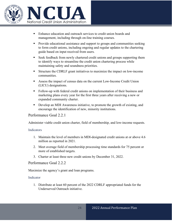

- Enhance education and outreach services to credit union boards and management, including through on-line training courses.
- **Provide educational assistance and support to groups and communities seeking** to form credit unions, including ongoing and regular updates to the chartering guide based on input received from users.
- Seek feedback from newly chartered credit unions and groups supporting them to identify ways to streamline the credit union chartering process while maintaining safety and soundness priorities.
- Structure the CDRLF grant initiatives to maximize the impact on low-income communities.
- Assess the impact of census data on the current Low-Income Credit Union (LICU) designations.
- Follow-up with federal credit unions on implementation of their business and marketing plans every year for the first three years after receiving a new or expanded community charter.
- Develop an MDI Awareness initiative, to promote the growth of existing, and encourage the identification of new, minority institutions.

#### Performance Goal 2.2.1

Administer viable credit union charter, field of membership, and low-income requests.

#### **Indicators**

- 1. Maintain the level of members in MDI-designated credit unions at or above 4.6 million as reported in 2021.
- 2. Meet average field of membership processing time standards for 75 percent or more of established targets.
- 3. Charter at least three new credit unions by December 31, 2022.

#### Performance Goal 2.2.2

Maximize the agency's grant and loan programs.

#### Indicator

1. Distribute at least 60 percent of the 2022 CDRLF appropriated funds for the Underserved Outreach initiative.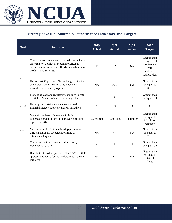

## **Strategic Goal 2: Summary Performance Indicators and Targets**

| Goal  | <b>Indicator</b>                                                                                                                                                              | 2019<br><b>Actual</b> | 2020<br>Actual | 2021<br><b>Actual</b> | 2022<br><b>Target</b>                                                           |
|-------|-------------------------------------------------------------------------------------------------------------------------------------------------------------------------------|-----------------------|----------------|-----------------------|---------------------------------------------------------------------------------|
| 2.1.1 | Conduct a conference with external stakeholders<br>on regulatory, policy or program changes to<br>expand access to fair and affordable credit union<br>products and services. | <b>NA</b>             | NA             | NA.                   | Greater than<br>or Equal to 1<br>Conference<br>with<br>external<br>stakeholders |
|       | Use at least 85 percent of hours budgeted for the<br>small credit union and minority depository<br>institution assistance programs.                                           | <b>NA</b>             | NA             | <b>NA</b>             | Greater than<br>or Equal to<br>85%                                              |
|       | Propose at least one regulatory change to update<br>the field of membership or chartering rules.                                                                              |                       | $\mathbf{1}$   | 1                     | Greater than<br>or Equal to 1                                                   |
| 2.1.2 | Develop and distribute consumer-focused<br>financial literacy public awareness initiatives.                                                                                   | 5                     | 10             | 8                     | 6                                                                               |
| 2.2.1 | Maintain the level of members in MDI-<br>designated credit unions at or above 4.6 million<br>reported in 2021.                                                                | 3.9 million           | 4.3 million    | 4.6 million           | Greater than<br>or Equal to<br>4.6 million<br>members                           |
|       | Meet average field of membership processing<br>time standards for 75 percent or more of<br>established targets.                                                               | <b>NA</b>             | NA             | NA                    | Greater than<br>or Equal to<br>75%                                              |
|       | Charter at least three new credit unions by<br>December 31, 2022.                                                                                                             | 2                     | 1              | 4                     | Greater than<br>or Equal to 3                                                   |
| 2.2.2 | Distribute at least 60 percent of the 2022 CDRLF<br>appropriated funds for the Underserved Outreach<br>initiative.                                                            | <b>NA</b>             | NA             | <b>NA</b>             | Greater than<br>or Equal to<br>$60\%$ of<br>funds                               |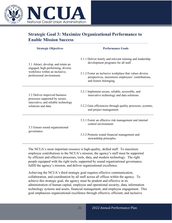

<span id="page-31-0"></span>

| <b>Strategic Goal 3: Maximize Organizational Performance to</b> |
|-----------------------------------------------------------------|
| <b>Enable Mission Success</b>                                   |

| <b>Strategic Objectives</b>                                              | <b>Performance Goals</b>                                                                                                               |
|--------------------------------------------------------------------------|----------------------------------------------------------------------------------------------------------------------------------------|
| 3.1 Attract, develop, and retain an<br>engaged, high-performing, diverse | 3.1.1 Deliver timely and relevant training and leadership<br>development programs for all staff.                                       |
| workforce within an inclusive,<br>professional environment.              | 3.1.2 Foster an inclusive workplace that values diverse<br>perspectives, maximizes employees' contributions,<br>and fosters belonging. |
| 3.2 Deliver improved business<br>processes supported by secure,          | 3.2.1 Implement secure, reliable, accessible, and<br>innovative technology and data solutions.                                         |
| innovative, and reliable technology<br>solutions and data.               | 3.2.2 Gain efficiencies through quality processes, systems,<br>and project management.                                                 |
| 3.3 Ensure sound organizational                                          | 3.3.1 Foster an effective risk management and internal<br>control environment.                                                         |
| governance.                                                              | 3.3.2 Promote sound financial management and<br>stewardship principles.                                                                |

The NCUA's most important resource is high-quality, skilled staff. To maximize employee contributions to the NCUA's mission, the agency's staff must be supported by efficient and effective processes, tools, data, and modern technology. The right people equipped with the right tools, supported by sound organizational governance, fulfill the agency's mission, and deliver organizational excellence.

Achieving the NCUA's third strategic goal requires effective communication, collaboration, and coordination by all staff across all offices within the agency. To achieve this strategic goal, the agency must be prudent and effective in its administration of human capital, employee and operational security, data, information technology systems and assets, financial management, and employee engagement. This goal emphasizes organizational excellence through effective, efficient, and inclusive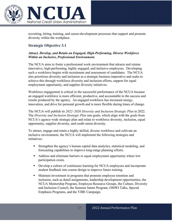

recruiting, hiring, training, and career-development processes that support and promote diversity within the workplace.

## **Strategic Objective 3.1**

#### *Attract, Develop, and Retain an Engaged, High-Performing, Diverse Workforce Within an Inclusive, Professional Environment.*

The NCUA aims to foster a professional work environment that attracts and retains innovative, high-performing, highly engaged, and inclusive employees. Developing such a workforce begins with recruitment and assessment of candidates. The NCUA also prioritizes diversity and inclusion as a strategic business imperative and seeks to achieve this through workforce diversity and inclusion efforts, support for equal employment opportunity, and supplier diversity initiatives.

Workforce engagement is critical to the successful performance of the NCUA because an engaged workforce is more efficient, productive, and accountable to the success and results produced by the agency. An engaged workforce has increased energy, innovation, and drive for personal growth and is more flexible during times of change.

The NCUA will publish its *2022–2026 Diversity and Inclusion Strategic Plan* in 2022. The *Diversity and Inclusion Strategic Plan* sets goals, which align with the goals from NCUA's agency-wide strategic plan and relate to workforce diversity, inclusion, equal opportunity, supplier diversity, and credit union diversity.

To attract, engage and retain a highly skilled, diverse workforce and cultivate an inclusive environment, the NCUA will implement the following strategies and initiatives:

- Strengthen the agency's human capital data analytics, statistical modeling, and forecasting capabilities to improve long-range planning efforts.
- Address and eliminate barriers to equal employment opportunity where low participation exists.
- Develop a culture of continuous learning for NCUA employees and incorporate student feedback into course design to improve future training.
- Maintain investment in programs that promote employee retention and inclusion, such as detail assignments, leadership development opportunities, the NCUA Mentorship Program, Employee Resource Groups, the Culture, Diversity and Inclusion Council, the Summer Intern Program, OMWI Talks, Special Emphasis Programs, and the VIBE Campaign.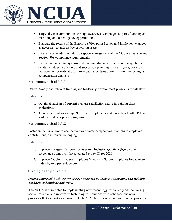

- Target diverse communities through awareness campaigns as part of employee recruiting and other agency opportunities.
- Evaluate the results of the Employee Viewpoint Survey and implement changes as necessary to address lower scoring areas.
- Hire a website administrator to support management of the NCUA's website and Section 508 compliance requirements.
- Hire a human capital systems and planning division director to manage human capital, strategic workforce and succession planning, data analytics, workforce management prioritization, human capital systems administration, reporting, and compensation analysis.

#### Performance Goal 3.1.1

Deliver timely and relevant training and leadership development programs for all staff.

#### Indicators

- 1. Obtain at least an 85 percent average satisfaction rating in training class evaluations.
- 2. Achieve at least an average 90 percent employee satisfaction level with NCUA leadership development programs.

#### Performance Goal 3.1.2

Foster an inclusive workplace that values diverse perspectives, maximizes employees' contributions, and fosters belonging.

#### Indicators

- 1. Improve the agency's score for its proxy Inclusion Quotient (IQ) by one percentage point over the calculated proxy IQ for 2021.
- 2. Improve NCUA's Federal Employee Viewpoint Survey Employee Engagement Index by two percentage points.

#### **Strategic Objective 3.2**

#### *Deliver Improved Business Processes Supported by Secure, Innovative, and Reliable Technology Solutions and Data.*

The NCUA is committed to implementing new technology responsibly and delivering secure, reliable, and innovative technological solutions with enhanced business processes that support its mission. The NCUA plans for new and improved approaches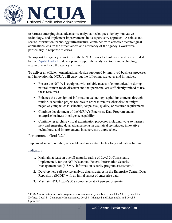

to harness emerging data, advance its analytical techniques, deploy innovative technology, and implement improvements in its supervisory approach. A robust and secure information technology infrastructure, combined with effective technological applications, ensure the effectiveness and efficiency of the agency's workforce, particularly in response to crises.

To support the agency's workforce, the NCUA makes technology investments funded by the [Capital Budget](https://www.ncua.gov/files/publications/budget/budget-justification-2022.pdf) to develop and support the analytical tools and technology required to achieve the agency's mission.

To deliver an efficient organizational design supported by improved business processes and innovation the NCUA will carry out the following strategies and initiatives:

- Ensure the NCUA is equipped with reliable means of communication during natural or man-made disasters and that personnel are sufficiently trained to use these resources.
- **Enhance the oversight of information technology capital investments through** routine, scheduled project reviews in order to remove obstacles that might negatively impact cost, schedule, scope, risk, quality, or resource requirements.
- Continue development of the NCUA's Enterprise Data Program and an enterprise business intelligence capability.
- Continue researching virtual examination processes including ways to harness new and emerging data, advancements in analytical techniques, innovative technology, and improvements in supervisory approaches.

#### Performance Goal 3.2.1

Implement secure, reliable, accessible and innovative technology and data solutions.

#### Indicators

- 1. Maintain at least an overall maturity rating of Level 3, Consistently Implemented, for the NCUA's annual Federal Information Security Management Act (FISMA) information security program assessment.<sup>[6](#page-34-0)</sup>
- 2. Develop new self-service analytic data structures in the Enterprise Central Data Repository (ECDR) with an initial subset of enterprise data.
- 3. Maintain NCUA.gov's 508 compliance at 97 percent or greater.

<span id="page-34-0"></span><sup>6</sup> FISMA information security program assessment maturity levels are: Level 1 - Ad Hoc, Level 2 - Defined, Level 3 - Consistently Implemented, Level 4 - Managed and Measurable, and Level 5 – Optimized.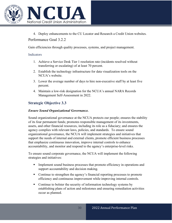

4. Deploy enhancements to the CU Locator and Research a Credit Union websites.

Performance Goal 3.2.2

Gain efficiencies through quality processes, systems, and project management.

#### **Indicators**

- 1. Achieve a Service Desk Tier 1 resolution rate (incidents resolved without transferring or escalating) of at least 70 percent.
- 2. Establish the technology infrastructure for data visualization tools on the NCUA's website.
- 3. Lower the average number of days to hire non-executive staff by at least five percent.
- 4. Maintain a low-risk designation for the NCUA's annual NARA Records Management Self-Assessment in 2022.

#### **Strategic Objective 3.3**

#### *Ensure Sound Organizational Governance.*

Sound organizational governance at the NCUA protects our people; ensures the stability of its four permanent funds; promotes responsible management of its investments, assets, and other financial resources, including its role as a fiduciary; and ensures the agency complies with relevant laws, policies, and standards. To ensure sound organizational governance, the NCUA will implement strategies and initiatives that support the needs of internal and external clients, promote efficient business processes that emphasize continuous innovation, improve internal controls to enhance accountability, and monitor and respond to the agency's enterprise-level risks.

To ensure sound corporate governance, the NCUA will implement the following strategies and initiatives:

- **Implement sound business processes that promote efficiency in operations and** support accountability and decision making.
- Continue to strengthen the agency's financial reporting processes to promote efficiency and continuous improvement while improving internal controls.
- Continue to bolster the security of information technology systems by establishing plans of action and milestones and ensuring remediation activities occur as planned.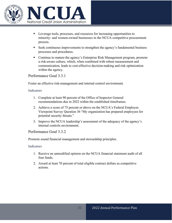

- Leverage tools, processes, and resources for increasing opportunities to minority- and women-owned businesses in the NCUA competitive procurement process.
- Seek continuous improvements to strengthen the agency's fundamental business processes and procedures.
- Continue to mature the agency's Enterprise Risk Management program, promote a risk-aware culture, which, when combined with robust measurement and communication, leads to cost-effective decision-making and risk optimization within the agency.

#### Performance Goal 3.3.1

Foster an effective risk-management and internal control environment.

#### Indicators

- 1. Complete at least 90 percent of the Office of Inspector General recommendations due in 2022 within the established timeframes.
- 2. Achieve a score of 75 percent or above on the NCUA's Federal Employee Viewpoint Survey Question 36 "My organization has prepared employees for potential security threats."
- 3. Improve the NCUA leadership's assessment of the adequacy of the agency's internal controls environment.

#### Performance Goal 3.3.2

Promote sound financial management and stewardship principles.

#### **Indicators**

- 1. Receive an unmodified opinion on the NCUA financial statement audit of all four funds.
- 2. Award at least 70 percent of total eligible contract dollars as competitive actions.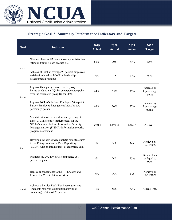

## **Strategic Goal 3: Summary Performance Indicators and Targets**

| Goal  | <b>Indicator</b>                                                                                                                                                                                                  | 2019<br><b>Actual</b> | 2020<br><b>Actual</b> | 2021<br><b>Actual</b> | 2022<br><b>Target</b>                 |
|-------|-------------------------------------------------------------------------------------------------------------------------------------------------------------------------------------------------------------------|-----------------------|-----------------------|-----------------------|---------------------------------------|
|       | Obtain at least an 85 percent average satisfaction<br>rating in training class evaluations.                                                                                                                       | 85%                   | 90%                   | 89%                   | 85%                                   |
| 3.1.1 | Achieve at least an average 90 percent employee<br>satisfaction level with NCUA leadership<br>development programs.                                                                                               | <b>NA</b>             | <b>NA</b>             | 83%                   | 90%                                   |
| 3.1.2 | Improve the agency's score for its proxy<br>Inclusion Quotient (IQ) by one percentage point<br>over the calculated proxy IQ for 2021.                                                                             | 64%                   | 65%                   | 75%                   | Increase by<br>1 percentage<br>point  |
|       | Improve NCUA's Federal Employee Viewpoint<br>Survey Employee Engagement Index by two<br>percentage points.                                                                                                        | 69%                   | 76%                   | 77%                   | Increase by<br>2 percentage<br>points |
| 3.2.1 | Maintain at least an overall maturity rating of<br>Level 3, Consistently Implemented, for the<br>NCUA's annual Federal Information Security<br>Management Act (FISMA) information security<br>program assessment. | Level 2               | Level 2               | Level 4               | $\geq$ Level 3                        |
|       | Develop new self-service analytic data structures<br>in the Enterprise Central Data Repository<br>(ECDR) with an initial subset of enterprise data.                                                               | <b>NA</b>             | <b>NA</b>             | NA.                   | Achieve by<br>12/31/2022              |
|       | Maintain NCUA.gov's 508 compliance at 97<br>percent or greater.                                                                                                                                                   | <b>NA</b>             | <b>NA</b>             | 95%                   | Greater than<br>or Equal to<br>97%    |
|       | Deploy enhancements to the CU Locator and<br>Research a Credit Union websites.                                                                                                                                    | NA                    | NA                    | NA                    | Achieve by<br>12/31/2022              |
| 3.2.2 | Achieve a Service Desk Tier 1 resolution rate<br>(incidents resolved without transferring or<br>escalating) of at least 70 percent.                                                                               | 71%                   | 58%                   | 72%                   | At least 70%                          |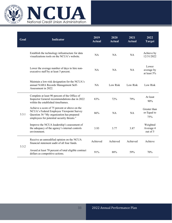

| Goal  | <b>Indicator</b>                                                                                                                                                                     | 2019<br><b>Actual</b> | 2020<br><b>Actual</b> | 2021<br><b>Actual</b> | 2022<br><b>Target</b>              |
|-------|--------------------------------------------------------------------------------------------------------------------------------------------------------------------------------------|-----------------------|-----------------------|-----------------------|------------------------------------|
|       | Establish the technology infrastructure for data<br>visualizations tools on the NCUA's website.                                                                                      | <b>NA</b>             | <b>NA</b>             | <b>NA</b>             | Achieve by<br>12/31/2022           |
|       | Lower the average number of days to hire non-<br>executive staff by at least 5 percent.                                                                                              | <b>NA</b>             | <b>NA</b>             | <b>NA</b>             | Lower<br>average by<br>at least 5% |
|       | Maintain a low-risk designation for the NCUA's<br>annual NARA Records Management Self-<br>Assessment in 2022.                                                                        | NA                    | Low Risk              | Low Risk              | Low Risk                           |
| 3.3.1 | Complete at least 90 percent of the Office of<br>Inspector General recommendations due in 2022<br>within the established timeframes.                                                 | 83%                   | 72%                   | 79%                   | At least<br>90%                    |
|       | Achieve a score of 75 percent or above on the<br>NCUA's Federal Employee Viewpoint Survey<br>Question 36 "My organization has prepared<br>employees for potential security threats." | 86%                   | <b>NA</b>             | <b>NA</b>             | Greater than<br>or Equal to<br>75% |
|       | Improve the NCUA leadership's assessment of<br>the adequacy of the agency's internal controls<br>environment.                                                                        | 3.93                  | 3.77                  | 3.87                  | Weighted<br>Average 4<br>out of 5  |
| 3.3.2 | Receive an unmodified opinion on the NCUA<br>financial statement audit of all four funds.                                                                                            | Achieved              | Achieved              | Achieved              | Achieve                            |
|       | Award at least 70 percent of total eligible contract<br>dollars as competitive actions.                                                                                              | 91%                   | 88%                   | 59%                   | 70%                                |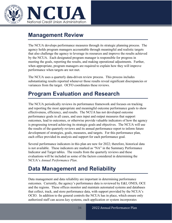

# <span id="page-39-0"></span>**Management Review**

The NCUA develops performance measures through its strategic planning process. The agency holds program managers accountable through meaningful and realistic targets that also challenge the agency to leverage its resources and improve the results achieved by the NCUA. Each designated program manager is responsible for progress in meeting the goals, reporting the results, and making operational adjustments. Further, when appropriate, program managers are required to explain how they will improve performance when targets are not met.

The NCUA uses a quarterly data-driven review process. This process includes substantiating results reported whenever those results reveal significant discrepancies or variances from the target. OCFO coordinates these reviews.

# <span id="page-39-1"></span>**Program Evaluation and Research**

The NCUA periodically reviews its performance framework and focuses on tracking and reporting the most appropriate and meaningful outcome performance goals to show effectiveness, efficiency, and results. The NCUA has not developed outcome performance goals in all cases, and uses input and output measures that support outcomes, lead to outcomes, or otherwise provide valuable indicators of how the agency is progressing toward achieving its strategic goals and objectives. The NCUA will use the results of the quarterly reviews and its annual performance report to inform future development of strategies, goals, measures, and targets. For this performance plan, each office provided its analysis and support for each performance goal.

Several performance indicators in this plan are new for 2022; therefore, historical data is not available. These indicators are marked as "NA" in the Summary Performance Indicator and Target tables. The results from the quarterly reviews and these evaluations will be included as some of the factors considered in determining the NCUA's *Annual Performance Plan*.

# <span id="page-39-2"></span>**Data Management and Reliability**

Data management and data reliability are important in determining performance outcomes. Currently, the agency's performance data is reviewed by E&I, ONES, OCE and the regions. These offices monitor and maintain automated systems and databases that collect, track, and store performance data, with support provided by the NCUA's OCIO. In addition to the general controls the NCUA has in place, which ensure only authorized staff can access key systems, each application or system incorporates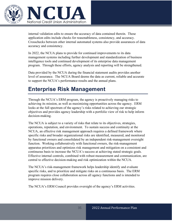

internal validation edits to ensure the accuracy of data contained therein. These application edits include checks for reasonableness, consistency, and accuracy. Crosschecks between other internal automated systems also provide assurances of data accuracy and consistency.

In 2022, the NCUA plans to provide for continued improvements to its data management systems including further development and standardization of business intelligence tools and continued development of its enterprise data management program. Through these efforts, agency analysis and reporting will be strengthened.

Data provided by the NCUA during the financial statement audits provides another level of assurance. The NCUA Board deems the data as current, reliable and accurate to support the NCUA's performance results and the annual plans.

# <span id="page-40-0"></span>**Enterprise Risk Management**

Through the NCUA's ERM program, the agency is proactively managing risks to achieving its mission, as well as maximizing opportunities across the agency. ERM looks at the full spectrum of the agency's risks related to achieving our strategic objectives and provides agency leadership with a portfolio view of risk to help inform decision-making.

The NCUA is subject to a variety of risks that relate to its objectives, strategies, operations, reputation, and environment. To sustain success and continuity at the NCUA, an effective risk management approach requires a defined framework where specific risks and broader organizational risks are identified, measured, and monitored by functional owners and consolidated by an independent risk-management oversight function. Working collaboratively with functional owners, the risk-management apparatus prioritizes and optimizes risk management and mitigation on a consistent and continuous basis to increase the NCUA's success at achieving stated strategic goals. Effective internal controls, combined with robust measurement and communication, are central to effective decision-making and risk optimization within the NCUA.

The NCUA's risk-management framework helps leadership identify and evaluate specific risks, and to prioritize and mitigate risks on a continuous basis. The ERM program requires close collaboration across all agency functions and is intended to improve mission delivery.

The NCUA's ERM Council provides oversight of the agency's ERM activities.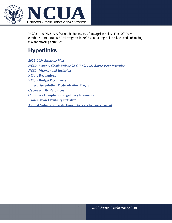

In 2021, the NCUA refreshed its inventory of enterprise risks. The NCUA will continue to mature its ERM program in 2022 conducting risk reviews and enhancing risk monitoring activities.

# <span id="page-41-0"></span>**Hyperlinks**

*[2022–2026 Strategic Plan](https://www.ncua.gov/about/budget-strategic-planning/strategic-plans-annual-performance-plans) [NCUA Letter to Credit Unions 22-CU-02, 2022 Supervisory Priorities](https://www.ncua.gov/regulation-supervision/letters-credit-unions-other-guidance/ncuas-2022-supervisory-priorities) [NCUA Diversity and Inclusion](https://www.ncua.gov/about/diversity-inclusion)* **[NCUA Regulations](https://www.ncua.gov/regulation-supervision/rules-regulations) [NCUA Budget Documents](https://www.ncua.gov/About/Pages/budget-strategic-planning/supplementary-materials.aspx) [Enterprise Solution Modernization Program](https://www.ncua.gov/regulation-supervision/examination-modernization-initiatives/enterprise-solution-modernization-program) [Cybersecurity Resources](https://www.ncua.gov/regulation-supervision/regulatory-compliance-resources/cybersecurity-resources) [Consumer Compliance Regulatory Resources](https://www.ncua.gov/regulation-supervision/Pages/policy-compliance/resource-centers/consumer.aspx) [Examination Flexibility Initiative](https://www.ncua.gov/files/letters-credit-unions/exam-flexibility-initiative-report-2016-oct.pdf) [Annual Voluntary Credit Union Diversity Self-Assessment](https://www.ncua.gov/about-ncua/diversity-inclusion/credit-union-diversity/voluntary-credit-union-diversity-self-assessment)**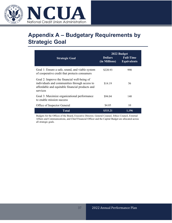

# <span id="page-42-0"></span>**Appendix A – Budgetary Requirements by Strategic Goal**

| <b>Strategic Goal</b>                                                                                                                                       | <b>Dollars</b><br>(in Millions) | 2022 Budget<br><b>Full-Time</b><br><b>Equivalents</b> |
|-------------------------------------------------------------------------------------------------------------------------------------------------------------|---------------------------------|-------------------------------------------------------|
| Goal 1: Ensure a safe, sound, and viable system<br>of cooperative credit that protects consumers                                                            | \$220.93                        | 990                                                   |
| Goal 2: Improve the financial well-being of<br>individuals and communities through access to<br>affordable and equitable financial products and<br>services | \$14.19                         | 56                                                    |
| Goal 3: Maximize organizational performance<br>to enable mission success                                                                                    | \$94.04                         | 140                                                   |
| Office of Inspector General                                                                                                                                 | \$4.05                          | 10                                                    |
| Total                                                                                                                                                       | \$333.21                        | 1,196                                                 |

Budgets for the Offices of the Board, Executive Director, General Counsel, Ethics Council, External Affairs and Communications, and Chief Financial Officer and the Capital Budget are allocated across all strategic goals.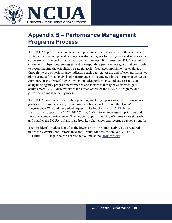

# <span id="page-43-0"></span>**Appendix B – Performance Management Programs Process**

The NCUA's performance management programs process begins with the agency's strategic plan, which provides long-term strategic goals for the agency and serves as the cornerstone of the performance management process. It outlines the NCUA's annual (short-term) objectives, strategies, and corresponding performance goals that contribute to accomplishing the established strategic goals. Goal accomplishment is evaluated through the use of performance indicators each quarter. At the end of each performance plan period, a formal analysis of performance is documented in the Performance Results Summary of the *Annual Report*, which includes performance indicator results, an analysis of agency program performance and factors that may have affected goal achievement. OMB also evaluates the effectiveness of the NCUA's programs and performance management process.

The NCUA continues to strengthen planning and budget processes. The performance goals outlined in the strategic plan provide a framework for both the *Annual Performance Plan* and the budget request. The [NCUA's 2022–2023 Budget](https://www.ncua.gov/files/publications/budget/budget-justification-2022.pdf)  [Justification](https://www.ncua.gov/files/publications/budget/budget-justification-2022.pdf) supports the *2022–2026 Strategic Plan* to achieve agency priorities and improve agency performance. The budget supports the NCUA's three strategic goals and enables the NCUA's plans to address key challenges and leverage agency strengths.

The President's Budget identifies the lower-priority program activities, as required under the Government Performance and Results Modernization Act, 31 U.S.C. 1115(b)(10). The public can access the volume at the [OMB website.](http://www.whitehouse.gov/omb/budget)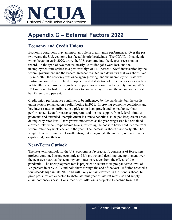

# <span id="page-44-0"></span>**Appendix C – External Factors 2022**

## **Economy and Credit Unions**

Economic conditions play an important role in credit union performance. Over the past two years, the U.S. economy has faced historic headwinds. The COVID-19 pandemic, which began in early 2020, drove the U.S. economy into the deepest recession on record. In the span of two months, nearly 22 million jobs were lost, and the unemployment rate spiked to a post-war high of 14.7 percent. Swift intervention by the federal government and the Federal Reserve resulted in a downturn that was short-lived. By mid-2020 the economy was once again growing, and the unemployment rate was starting to come down. The development and distribution of effective vaccines starting in late 2020 also provided significant support for economic activity. By January 2022, 19.1 million jobs had been added back to nonfarm payrolls and the unemployment rate had fallen to 4.0 percent.

Credit union performance continues to be influenced by the pandemic, but the credit union system remained on a solid footing in 2021. Improving economic conditions and low interest rates contributed to a pick-up in loan growth and helped bolster loan performance. Loan forbearance programs and income support from federal stimulus payments and extended unemployment insurance benefits also helped keep credit union delinquency rates low. Share growth moderated as the year progressed but remained elevated relative to pre-pandemic levels, reflecting the boost to household income from federal relief payments earlier in the year. The increase in shares since early 2020 has weighed on credit union net worth ratios, but in aggregate the industry remained wellcapitalized, nonetheless.

## **Near-Term Outlook**

The near-term outlook for the U.S. economy is favorable. A consensus of forecasters projects continued strong economic and job growth and declining unemployment over the next two years as the economy continues to recover from the effects of the pandemic. The unemployment rate is projected to return to its pre-pandemic level of 3.5 percent in early 2023 and hold there through the end of the year. Inflation reached a four-decade high in late 2021 and will likely remain elevated in the months ahead, but price pressures are expected to abate later this year as interest rates rise and supply chain bottlenecks ease. Consumer price inflation is projected to decline from 7.0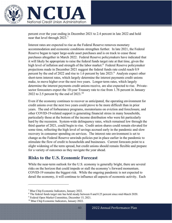

percent over the year ending in December 2021 to 2.4 percent in late 2022 and hold near that level through 2023.<sup>[7](#page-45-0)</sup>

Interest rates are expected to rise as the Federal Reserve removes monetary accommodation and economic conditions strengthen further. In late 2021, the Federal Reserve began to taper large-scale asset purchases and is on track to cease those purchases altogether in March 2022. Federal Reserve policymakers have indicated that it will likely be appropriate to raise the federal funds target rate at that time, given the high level of inflation and strength of the labor market.<sup>[8](#page-45-1)</sup> Federal Reserve policymaker projections made in December 2021 suggest the federal funds rate could reach 0.9 percent by the end of 2022 and rise to 1.6 percent by late 2023.<sup>[9](#page-45-2)</sup> Analysts expect other short-term interest rates, which largely determine the interest payments credit unions make, to move higher over the next two years. Longer-term rates, which largely determine the interest payments credit unions receive, are also expected to rise. Privatesector forecasters expect the 10-year Treasury rate to rise from 1.76 percent in January 2022 to 2.5 percent by the end of  $2023$ .<sup>[10](#page-45-3)</sup>

Even if the economy continues to recover as anticipated, the operating environment for credit unions over the next two years could prove to be more difficult than in prior years. The end of forbearance programs, moratoriums on eviction and foreclosure, and other COVID-19-related support is generating financial stress in many households, particularly those at the bottom of the income distribution who were hit particularly hard by the recession. System-wide delinquency rates, which remained low through the third quarter of 2021, could begin to rise. Credit union shares could remain elevated for some time, reflecting the high level of savings accrued early in the pandemic and slow recovery in consumer spending on services. The interest rate environment is set to change as the Federal Reserve unwinds policies put in place earlier in the pandemic to stimulate the flow of credit to households and businesses. Current forecasts point to a slight widening of the term spread, but credit unions should remain flexible and prepare for a variety of outcomes as they navigate the year ahead.

## **Risks to the U.S. Economic Forecast**

While the near-term outlook for the U.S. economy is generally bright, there are several risks on the horizon that could impede or stall the economy's forward momentum. COVID-19 remains the biggest risk. While the ongoing pandemic is not expected to derail the economy, it will continue to influence all aspects of economic activity. Each

<span id="page-45-0"></span><sup>7</sup> Blue Chip Economic Indicators, January 2022.

<span id="page-45-1"></span><sup>8</sup> The federal funds target rate has held steady between 0 and 0.25 percent since mid-March 2020.

<span id="page-45-2"></span><sup>9</sup> Federal Open Market Committee, December 15, 2021.

<span id="page-45-3"></span><sup>10</sup> Blue Chip Economic Indicators, January 2022.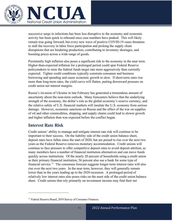

successive surge in infections has been less disruptive to the economy and economic activity has been quick to rebound once case numbers have peaked. This will likely remain true going forward, but every new wave of positive COVID-19 cases threatens to stall the recovery in labor force participation and prolong the supply chain disruptions that are hindering production, contributing to inventory shortages, and boosting prices across a wide range of goods.

Persistently high inflation also poses a significant risk to the economy in the near term. Higher-than-expected inflation for a prolonged period could spur Federal Reserve policymakers to raise the federal funds target rate more aggressively than currently expected. Tighter credit conditions typically constrain consumer and business borrowing and spending and cause economic growth to slow. If short-term rates rise more than long-term rates, the yield curve will flatten, putting downward pressure on credit union net interest margins.

Russia's invasion of Ukraine in late February has generated a tremendous amount of uncertainty about the near-term outlook. Many forecasters believe that the underlying strength of the economy, the dollar's role as the global economy's reserve currency, and the relative safety of U.S. financial markets will insulate the U.S. economy from serious damage. However, economic sanctions on Russia and the effect of the war on supplies of oil and other commodities, shipping, and supply chains could lead to slower growth and higher inflation than was expected before the conflict began.

## **Interest Rate Risk**

Credit unions' ability to manage and mitigate interest rate risk will continue to be important to their success. On the liability side of the credit union balance sheet, deposit rates have fallen since the start of 2020, but are poised to rise over the next two years as the Federal Reserve removes monetary accommodation. Credit unions will continue to face pressure to offer competitive deposit rates to avoid deposit attrition, as many members have a number of financial institution alternatives and can move funds quickly across institutions. Of the nearly 20 percent of households using a credit union as their primary financial institution, 56 percent also use a bank for some type of financial service.<sup>11</sup> The consensus forecast suggests longer-term interest rates will also rise over the next two years. In the near term, however, they will generally remain lower than in the years leading up to the 2020 recession. A prolonged period of relatively low interest rates also poses risks on the asset side of the credit union balance sheet. Credit unions that rely primarily on investment income may find their net

<span id="page-46-0"></span><sup>&</sup>lt;sup>11</sup> Federal Reserve Board, 2019 Survey of Consumer Finances.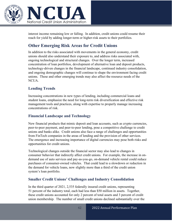

interest income remaining low or falling. In addition, credit unions could resume their reach for yield by adding longer-term or higher-risk assets to their portfolios.

# **Other Emerging Risk Areas for Credit Unions**

In addition to the risks associated with movements in the general economy, credit unions should also understand their exposure to, and address risks associated with, ongoing technological and structural changes. Over the longer term, increased concentration of loan portfolios, development of alternative loan and deposit products, technology-driven changes in the financial landscape, continued industry consolidation, and ongoing demographic changes will continue to shape the environment facing credit unions. These and other emerging trends may also affect the resource needs of the NCUA.

## **Lending Trends**

Increasing concentrations in new types of lending, including commercial loans and student loans, emphasize the need for long-term risk diversification and effective risk management tools and practices, along with expertise to properly manage increasing concentrations of risk.

## **Financial Landscape and Technology**

New financial products that mimic deposit and loan accounts, such as crypto currencies, peer-to-peer payment, and peer-to-peer lending, pose a competitive challenge to credit unions and banks alike. Credit unions also face a range of challenges and opportunities from FinTech companies in the areas of lending and the provision of other services. The emergence and increasing importance of digital currencies may pose both risks and opportunities for credit unions.

Technological changes outside the financial sector may also lead to changes in consumer behavior that indirectly affect credit unions. For example, the increase in ondemand use of auto services and pay-as-you-go, on-demand vehicle rental could reduce purchases of consumer-owned vehicles. That could lead to a slowdown or reduction in the demand for vehicle loans, now slightly more than a third of the credit union system's loan portfolio.

## **Smaller Credit Unions' Challenges and Industry Consolidation**

In the third quarter of 2021, 2,535 federally insured credit unions, representing 51 percent of the industry total, each had less than \$50 million in assets. Together, these credit unions accounted for only 2 percent of total assets and 3 percent of credit union membership. The number of small credit unions declined substantially over the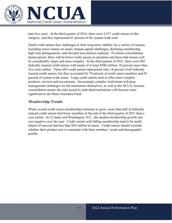

past five years. In the third quarter of 2016, there were 3,571 credit unions in this category, and they represented 61 percent of the system-wide total.

Small credit unions face challenges to their long-term viability for a variety of reasons, including lower returns on assets, human capital challenges, declining membership, high loan delinquencies, and elevated non-interest expenses. If current consolidation trends persist, there will be fewer credit unions in operation and those that remain will be considerably larger and more complex. In the third quarter of 2021, there were 685 federally insured credit unions with assets of at least \$500 million, 38 percent more than five years earlier. These 685 credit unions represented only 14 percent of all federally insured credit unions, but they accounted for 79 percent of credit union members and 83 percent of system-wide assets. Large credit unions tend to offer more complex products, services and investments. Increasingly complex institutions will pose management challenges for the institutions themselves, as well as the NCUA, because consolidation means the risks posed by individual institutions will become more significant to the Share Insurance Fund.

#### **Membership Trends**

While overall credit union membership continues to grow, more than half of federally insured credit unions had fewer members at the end of the third quarter of 2021 than a year earlier. In 23 states and Washington, D.C., the median membership growth rate was negative over the year. Credit unions with falling membership tend to be small; almost 65 percent had less than \$50 million in assets. Credit unions should consider whether their product mix is consistent with their members' needs and demographic profile.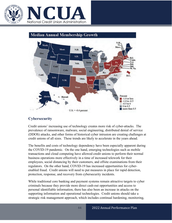



## **Cybersecurity**

Credit unions' increasing use of technology creates more risk of cyber-attacks. The prevalence of ransomware, malware, social engineering, distributed denial of service (DDOS) attacks, and other forms of historical cyber intrusion are creating challenges at credit unions of all sizes. These trends are likely to accelerate in the years ahead.

The benefits and costs of technology dependency have been especially apparent during the COVID-19 pandemic. On the one hand, emerging technologies such as mobile transactions and cloud computing have allowed credit unions to perform their normal business operations more effectively in a time of increased telework for their employees, social distancing by their customers, and offsite examinations from their regulators. On the other hand, COVID-19 has increased opportunities for cyberenabled fraud. Credit unions will need to put measures in place for rapid detection, protection, response, and recovery from cybersecurity incidents.

While traditional core banking and payment systems remain attractive targets to cyber criminals because they provide more direct cash-out opportunities and access to personal identifiable information, there has also been an increase in attacks on the supporting information and operational technologies. Credit unions should take a strategic risk management approach, which includes continual hardening, monitoring,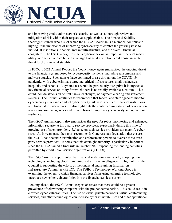

and improving credit union network security, as well as a thorough review and mitigation of risk within their respective supply chains. The Financial Stability Oversight Council (FSOC), of which the NCUA Chairman is a member, continues to highlight the importance of improving cybersecurity to combat the growing risks to individual institutions, financial market infrastructure, and the overall financial ecosystem. The FSOC recognizes that a cyber-attack on an important financial market utility, or a sensitive data breach at a large financial institution, could pose an acute threat to U.S. financial stability.

In FSOC's 2021 Annual Report, the Council once again emphasized the ongoing threat to the financial system posed by cybersecurity incidents, including ransomware and malware attacks. Such attacks have continued to rise throughout the COVID-19 pandemic, with cyber criminals targeting critical infrastructure, small businesses, hospitals, and schools. A cyberattack would be particularly disruptive if it targeted a key financial service or utility for which there is no readily available substitute. This could include attacks on central banks, exchanges, or payment clearing and settlement systems. The Council continues to recommend that federal and state agencies monitor cybersecurity risks and conduct cybersecurity risk assessments of financial institutions and financial infrastructures. It also highlights the continued importance of cooperation across government agencies and private firms to improve cybersecurity and operational resilience.

The FSOC Annual Report also emphasizes the need for robust monitoring and enhanced information security at third-party service providers, particularly during this time of growing use of such providers. Reliance on such service providers can magnify cyber risks. As in years past, the report recommends Congress pass legislation that ensures the NCUA has adequate examination and enforcement powers to oversee these thirdparty service providers. It notes that this oversight authority is particularly important since the NCUA issued a final rule in October 2021 expanding the lending activities permitted by credit union service organizations (CUSOs).

The FSOC Annual Report notes that financial institutions are rapidly adopting new technologies, including cloud computing and artificial intelligence. In light of this, the Council is supporting the efforts of the Financial and Banking Information Infrastructure Committee (FBIIC). The FBIIC's Technology Working Group is examining the extent to which financial services firms using emerging technologies introduce new cyber vulnerabilities into the financial services system.

Looking ahead, the FSOC Annual Report observes that there could be a greater prevalence of teleworking compared with the pre-pandemic period. This could result in elevated cyber vulnerabilities. The use of virtual private networks, virtual conferencing services, and other technologies can increase cyber vulnerabilities and other operational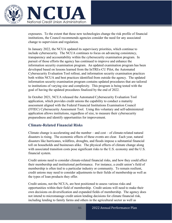

exposures. To the extent that these new technologies change the risk profile of financial institutions, the Council recommends agencies consider the need for any associated change to supervision and regulation.

In January 2022, the NCUA updated its supervisory priorities, which continue to include cybersecurity. The NCUA continues to focus on advancing consistency, transparency and accountability within the cybersecurity examination program. In pursuit of those efforts the agency has continued to improve and enhance the information security examination program. An updated examination program has been developed based on lessons learned from the InTREx-CU Pilot, the Automated Cybersecurity Evaluation Tool rollout, and information security examination practices both within NCUA and best practices identified from outside the agency. The updated information security examination program contains updated procedures that are tailored to institutions of varying size and complexity. This program is being tested with the goal of having the updated procedures finalized by the end of 2022.

In October 2021, NCUA released the Automated Cybersecurity Evaluation Tool application, which provides credit unions the capability to conduct a maturity assessment aligned with the Federal Financial Institutions Examination Council (FFIEC) Cybersecurity Assessment Tool. Using this voluntary and self-administered application allows institutions, regardless of size, to measure their cybersecurity preparedness and identify opportunities for improvement.

## **Climate-Related Financial Risks**

Climate change is accelerating and the number – and cost – of climate-related natural disasters is rising. The economic effects of these events are clear. Each year, natural disasters like hurricanes, wildfires, droughts, and floods impose a substantial financial toll on households and businesses alike. The physical effects of climate change along with associated transition costs pose significant risks to the U.S. economy and the U.S. financial system.

Credit unions need to consider climate-related financial risks, and how they could affect their membership and institutional performance. For instance, a credit union's field of membership is often tied to a particular industry or community. To remain resilient, credit unions may need to consider adjustments to their fields of membership as well as the types of loan products they offer.

Credit unions, not the NCUA, are best positioned to assess various risks and opportunities within their field of membership. Credit unions will need to make their own decisions on diversification and expanded fields of membership. The agency does not intend to micromanage credit union lending decisions for climate financial risk, including lending to family farms and others in the agricultural sector as well as